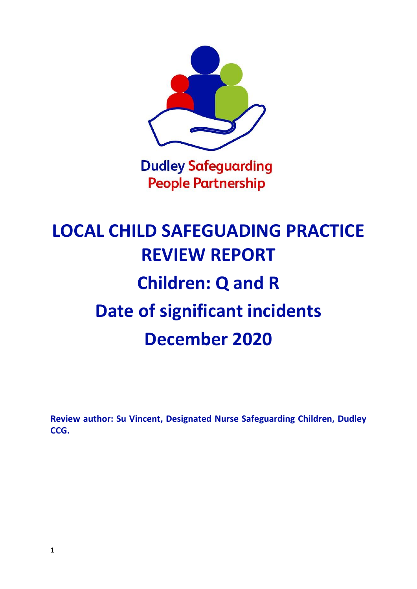

# **People Partnership**

## **LOCAL CHILD SAFEGUADING PRACTICE REVIEW REPORT Children: Q and R Date of significant incidents December 2020**

**Review author: Su Vincent, Designated Nurse Safeguarding Children, Dudley CCG.**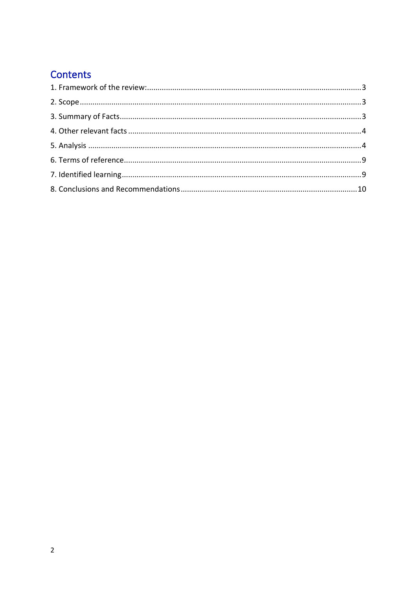## Contents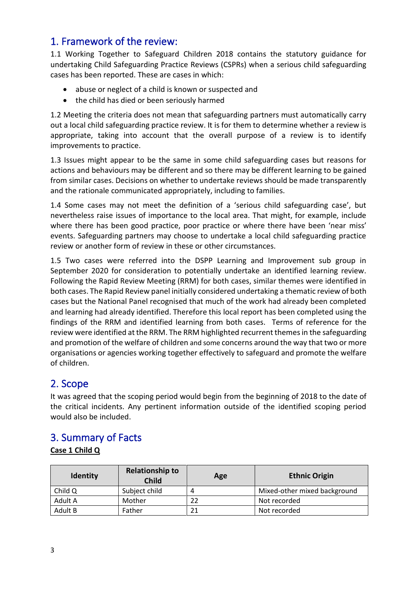## <span id="page-2-0"></span>1. Framework of the review:

1.1 Working Together to Safeguard Children 2018 contains the statutory guidance for undertaking Child Safeguarding Practice Reviews (CSPRs) when a serious child safeguarding cases has been reported. These are cases in which:

- abuse or neglect of a child is known or suspected and
- the child has died or been seriously harmed

1.2 Meeting the criteria does not mean that safeguarding partners must automatically carry out a local child safeguarding practice review. It is for them to determine whether a review is appropriate, taking into account that the overall purpose of a review is to identify improvements to practice.

1.3 Issues might appear to be the same in some child safeguarding cases but reasons for actions and behaviours may be different and so there may be different learning to be gained from similar cases. Decisions on whether to undertake reviews should be made transparently and the rationale communicated appropriately, including to families.

1.4 Some cases may not meet the definition of a 'serious child safeguarding case', but nevertheless raise issues of importance to the local area. That might, for example, include where there has been good practice, poor practice or where there have been 'near miss' events. Safeguarding partners may choose to undertake a local child safeguarding practice review or another form of review in these or other circumstances.

1.5 Two cases were referred into the DSPP Learning and Improvement sub group in September 2020 for consideration to potentially undertake an identified learning review. Following the Rapid Review Meeting (RRM) for both cases, similar themes were identified in both cases. The Rapid Review panel initially considered undertaking a thematic review of both cases but the National Panel recognised that much of the work had already been completed and learning had already identified. Therefore this local report has been completed using the findings of the RRM and identified learning from both cases. Terms of reference for the review were identified at the RRM. The RRM highlighted recurrent themes in the safeguarding and promotion of the welfare of children and some concerns around the way that two or more organisations or agencies working together effectively to safeguard and promote the welfare of children.

## <span id="page-2-1"></span>2. Scope

It was agreed that the scoping period would begin from the beginning of 2018 to the date of the critical incidents. Any pertinent information outside of the identified scoping period would also be included.

## <span id="page-2-2"></span>3. Summary of Facts

#### **Case 1 Child Q**

| <b>Identity</b> | <b>Relationship to</b><br><b>Child</b> | Age | <b>Ethnic Origin</b>         |
|-----------------|----------------------------------------|-----|------------------------------|
| Child Q         | Subject child                          | Д   | Mixed-other mixed background |
| Adult A         | Mother                                 |     | Not recorded                 |
| Adult B         | Father                                 | 21  | Not recorded                 |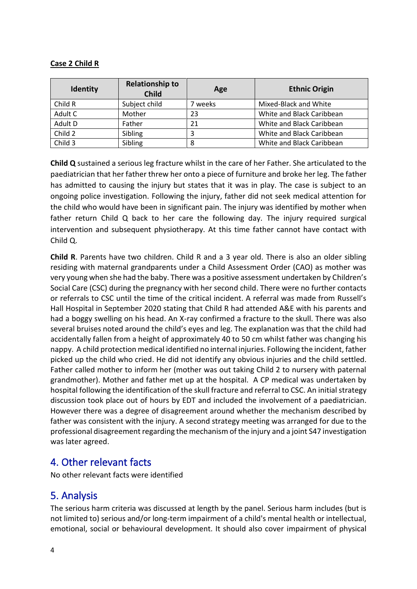#### **Case 2 Child R**

| <b>Identity</b> | <b>Relationship to</b><br><b>Child</b> | Age   | <b>Ethnic Origin</b>      |
|-----------------|----------------------------------------|-------|---------------------------|
| Child R         | Subject child                          | weeks | Mixed-Black and White     |
| Adult C         | Mother                                 | 23    | White and Black Caribbean |
| Adult D         | Father                                 | 21    | White and Black Caribbean |
| Child 2         | Sibling                                | 3     | White and Black Caribbean |
| Child 3         | Sibling                                | 8     | White and Black Caribbean |

**Child Q** sustained a serious leg fracture whilst in the care of her Father. She articulated to the paediatrician that her father threw her onto a piece of furniture and broke her leg. The father has admitted to causing the injury but states that it was in play. The case is subject to an ongoing police investigation. Following the injury, father did not seek medical attention for the child who would have been in significant pain. The injury was identified by mother when father return Child Q back to her care the following day. The injury required surgical intervention and subsequent physiotherapy. At this time father cannot have contact with Child Q.

**Child R**. Parents have two children. Child R and a 3 year old. There is also an older sibling residing with maternal grandparents under a Child Assessment Order (CAO) as mother was very young when she had the baby. There was a positive assessment undertaken by Children's Social Care (CSC) during the pregnancy with her second child. There were no further contacts or referrals to CSC until the time of the critical incident. A referral was made from Russell's Hall Hospital in September 2020 stating that Child R had attended A&E with his parents and had a boggy swelling on his head. An X-ray confirmed a fracture to the skull. There was also several bruises noted around the child's eyes and leg. The explanation was that the child had accidentally fallen from a height of approximately 40 to 50 cm whilst father was changing his nappy. A child protection medical identified no internal injuries. Following the incident, father picked up the child who cried. He did not identify any obvious injuries and the child settled. Father called mother to inform her (mother was out taking Child 2 to nursery with paternal grandmother). Mother and father met up at the hospital. A CP medical was undertaken by hospital following the identification of the skull fracture and referral to CSC. An initial strategy discussion took place out of hours by EDT and included the involvement of a paediatrician. However there was a degree of disagreement around whether the mechanism described by father was consistent with the injury. A second strategy meeting was arranged for due to the professional disagreement regarding the mechanism of the injury and a joint S47 investigation was later agreed.

### <span id="page-3-0"></span>4. Other relevant facts

No other relevant facts were identified

## <span id="page-3-1"></span>5. Analysis

The serious harm criteria was discussed at length by the panel. Serious harm includes (but is not limited to) serious and/or long-term impairment of a child's mental health or intellectual, emotional, social or behavioural development. It should also cover impairment of physical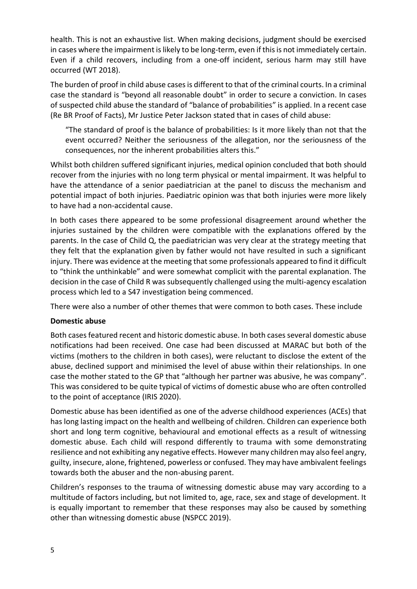health. This is not an exhaustive list. When making decisions, judgment should be exercised in cases where the impairment is likely to be long-term, even if this is not immediately certain. Even if a child recovers, including from a one-off incident, serious harm may still have occurred (WT 2018).

The burden of proof in child abuse cases is different to that of the criminal courts. In a criminal case the standard is "beyond all reasonable doubt" in order to secure a conviction. In cases of suspected child abuse the standard of "balance of probabilities" is applied. In a recent case (Re BR Proof of Facts), Mr Justice Peter Jackson stated that in cases of child abuse:

"The standard of proof is the balance of probabilities: Is it more likely than not that the event occurred? Neither the seriousness of the allegation, nor the seriousness of the consequences, nor the inherent probabilities alters this."

Whilst both children suffered significant injuries, medical opinion concluded that both should recover from the injuries with no long term physical or mental impairment. It was helpful to have the attendance of a senior paediatrician at the panel to discuss the mechanism and potential impact of both injuries. Paediatric opinion was that both injuries were more likely to have had a non-accidental cause.

In both cases there appeared to be some professional disagreement around whether the injuries sustained by the children were compatible with the explanations offered by the parents. In the case of Child Q, the paediatrician was very clear at the strategy meeting that they felt that the explanation given by father would not have resulted in such a significant injury. There was evidence at the meeting that some professionals appeared to find it difficult to "think the unthinkable" and were somewhat complicit with the parental explanation. The decision in the case of Child R was subsequently challenged using the multi-agency escalation process which led to a S47 investigation being commenced.

There were also a number of other themes that were common to both cases. These include

#### **Domestic abuse**

Both cases featured recent and historic domestic abuse. In both cases several domestic abuse notifications had been received. One case had been discussed at MARAC but both of the victims (mothers to the children in both cases), were reluctant to disclose the extent of the abuse, declined support and minimised the level of abuse within their relationships. In one case the mother stated to the GP that "although her partner was abusive, he was company". This was considered to be quite typical of victims of domestic abuse who are often controlled to the point of acceptance (IRIS 2020).

Domestic abuse has been identified as one of the adverse childhood experiences (ACEs) that has long lasting impact on the health and wellbeing of children. Children can experience both short and long term cognitive, behavioural and emotional effects as a result of witnessing domestic abuse. Each child will respond differently to trauma with some demonstrating resilience and not exhibiting any negative effects. However many children may also feel angry, guilty, insecure, alone, frightened, powerless or confused. They may have ambivalent feelings towards both the abuser and the non-abusing parent.

Children's responses to the trauma of witnessing domestic abuse may vary according to a multitude of factors including, but not limited to, age, race, sex and stage of development. It is equally important to remember that these responses may also be caused by something other than witnessing domestic abuse (NSPCC 2019).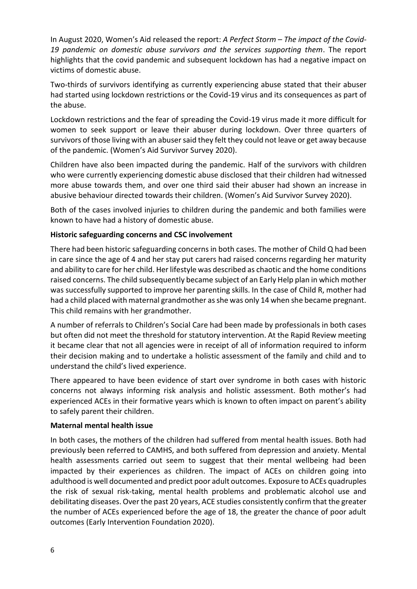In August 2020, Women's Aid released the report: *A Perfect Storm – The impact of the Covid-19 pandemic on domestic abuse survivors and the services supporting them*. The report highlights that the covid pandemic and subsequent lockdown has had a negative impact on victims of domestic abuse.

Two-thirds of survivors identifying as currently experiencing abuse stated that their abuser had started using lockdown restrictions or the Covid-19 virus and its consequences as part of the abuse.

Lockdown restrictions and the fear of spreading the Covid-19 virus made it more difficult for women to seek support or leave their abuser during lockdown. Over three quarters of survivors of those living with an abuser said they felt they could not leave or get away because of the pandemic. (Women's Aid Survivor Survey 2020).

Children have also been impacted during the pandemic. Half of the survivors with children who were currently experiencing domestic abuse disclosed that their children had witnessed more abuse towards them, and over one third said their abuser had shown an increase in abusive behaviour directed towards their children. (Women's Aid Survivor Survey 2020).

Both of the cases involved injuries to children during the pandemic and both families were known to have had a history of domestic abuse.

#### **Historic safeguarding concerns and CSC involvement**

There had been historic safeguarding concerns in both cases. The mother of Child Q had been in care since the age of 4 and her stay put carers had raised concerns regarding her maturity and ability to care for her child. Her lifestyle was described as chaotic and the home conditions raised concerns. The child subsequently became subject of an Early Help plan in which mother was successfully supported to improve her parenting skills. In the case of Child R, mother had had a child placed with maternal grandmother as she was only 14 when she became pregnant. This child remains with her grandmother.

A number of referrals to Children's Social Care had been made by professionals in both cases but often did not meet the threshold for statutory intervention. At the Rapid Review meeting it became clear that not all agencies were in receipt of all of information required to inform their decision making and to undertake a holistic assessment of the family and child and to understand the child's lived experience.

There appeared to have been evidence of start over syndrome in both cases with historic concerns not always informing risk analysis and holistic assessment. Both mother's had experienced ACEs in their formative years which is known to often impact on parent's ability to safely parent their children.

#### **Maternal mental health issue**

In both cases, the mothers of the children had suffered from mental health issues. Both had previously been referred to CAMHS, and both suffered from depression and anxiety. Mental health assessments carried out seem to suggest that their mental wellbeing had been impacted by their experiences as children. The impact of ACEs on children going into adulthood is well documented and predict poor adult outcomes. Exposure to ACEs quadruples the risk of sexual risk-taking, mental health problems and problematic alcohol use and debilitating diseases. Over the past 20 years, ACE studies consistently confirm that the greater the number of ACEs experienced before the age of 18, the greater the chance of poor adult outcomes (Early Intervention Foundation 2020).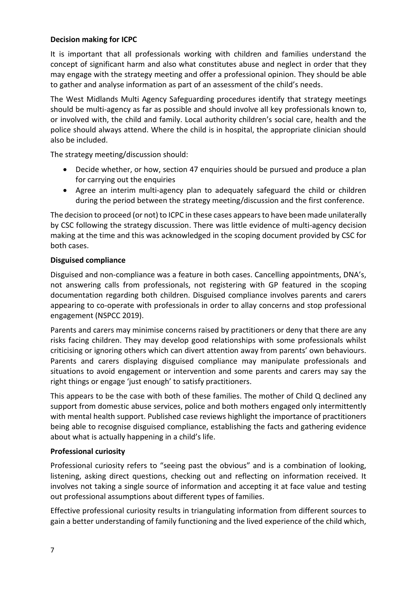#### **Decision making for ICPC**

It is important that all professionals working with children and families understand the concept of significant harm and also what constitutes abuse and neglect in order that they may engage with the strategy meeting and offer a professional opinion. They should be able to gather and analyse information as part of an assessment of the child's needs.

The West Midlands Multi Agency Safeguarding procedures identify that strategy meetings should be multi-agency as far as possible and should involve all key professionals known to, or involved with, the child and family. Local authority children's social care, health and the police should always attend. Where the child is in hospital, the appropriate clinician should also be included.

The strategy meeting/discussion should:

- Decide whether, or how, section 47 enquiries should be pursued and produce a plan for carrying out the enquiries
- Agree an interim multi-agency plan to adequately safeguard the child or children during the period between the strategy meeting/discussion and the first conference.

The decision to proceed (or not) to ICPC in these cases appears to have been made unilaterally by CSC following the strategy discussion. There was little evidence of multi-agency decision making at the time and this was acknowledged in the scoping document provided by CSC for both cases.

#### **Disguised compliance**

Disguised and non-compliance was a feature in both cases. Cancelling appointments, DNA's, not answering calls from professionals, not registering with GP featured in the scoping documentation regarding both children. Disguised compliance involves parents and carers appearing to co-operate with professionals in order to allay concerns and stop professional engagement (NSPCC 2019).

Parents and carers may minimise concerns raised by practitioners or deny that there are any risks facing children. They may develop good relationships with some professionals whilst criticising or ignoring others which can divert attention away from parents' own behaviours. Parents and carers displaying disguised compliance may manipulate professionals and situations to avoid engagement or intervention and some parents and carers may say the right things or engage 'just enough' to satisfy practitioners.

This appears to be the case with both of these families. The mother of Child Q declined any support from domestic abuse services, police and both mothers engaged only intermittently with mental health support. Published case reviews highlight the importance of practitioners being able to recognise disguised compliance, establishing the facts and gathering evidence about what is actually happening in a child's life.

#### **Professional curiosity**

Professional curiosity refers to "seeing past the obvious" and is a combination of looking, listening, asking direct questions, checking out and reflecting on information received. It involves not taking a single source of information and accepting it at face value and testing out professional assumptions about different types of families.

Effective professional curiosity results in triangulating information from different sources to gain a better understanding of family functioning and the lived experience of the child which,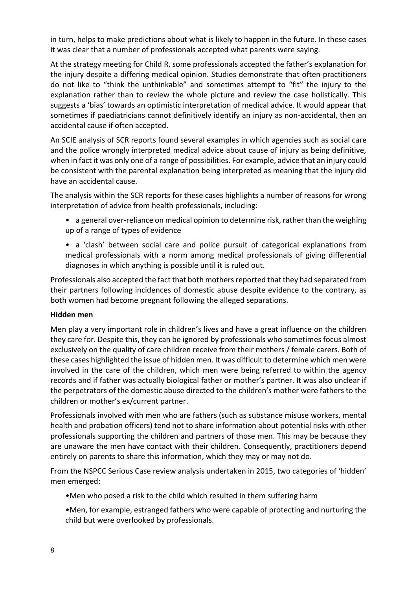in turn, helps to make predictions about what is likely to happen in the future. In these cases it was clear that a number of professionals accepted what parents were saying.

At the strategy meeting for Child R, some professionals accepted the father's explanation for the injury despite a differing medical opinion. Studies demonstrate that often practitioners do not like to "think the unthinkable" and sometimes attempt to "fit" the injury to the explanation rather than to review the whole picture and review the case holistically. This suggests a 'bias' towards an optimistic interpretation of medical advice. It would appear that sometimes if paediatricians cannot definitively identify an injury as non-accidental, then an accidental cause if often accepted.

An SCIE analysis of SCR reports found several examples in which agencies such as social care and the police wrongly interpreted medical advice about cause of injury as being definitive, when in fact it was only one of a range of possibilities. For example, advice that an injury could be consistent with the parental explanation being interpreted as meaning that the injury did have an accidental cause.

The analysis within the SCR reports for these cases highlights a number of reasons for wrong interpretation of advice from health professionals, including:

- a general over-reliance on medical opinion to determine risk, rather than the weighing up of a range of types of evidence
- a 'clash' between social care and police pursuit of categorical explanations from medical professionals with a norm among medical professionals of giving differential diagnoses in which anything is possible until it is ruled out.

Professionals also accepted the fact that both mothers reported that they had separated from their partners following incidences of domestic abuse despite evidence to the contrary, as both women had become pregnant following the alleged separations.

#### **Hidden men**

Men play a very important role in children's lives and have a great influence on the children they care for. Despite this, they can be ignored by professionals who sometimes focus almost exclusively on the quality of care children receive from their mothers / female carers. Both of these cases highlighted the issue of hidden men. It was difficult to determine which men were involved in the care of the children, which men were being referred to within the agency records and if father was actually biological father or mother's partner. It was also unclear if the perpetrators of the domestic abuse directed to the children's mother were fathers to the children or mother's ex/current partner.

Professionals involved with men who are fathers (such as substance misuse workers, mental health and probation officers) tend not to share information about potential risks with other professionals supporting the children and partners of those men. This may be because they are unaware the men have contact with their children. Consequently, practitioners depend entirely on parents to share this information, which they may or may not do.

From the NSPCC Serious Case review analysis undertaken in 2015, two categories of 'hidden' men emerged:

- •Men who posed a risk to the child which resulted in them suffering harm
- •Men, for example, estranged fathers who were capable of protecting and nurturing the child but were overlooked by professionals.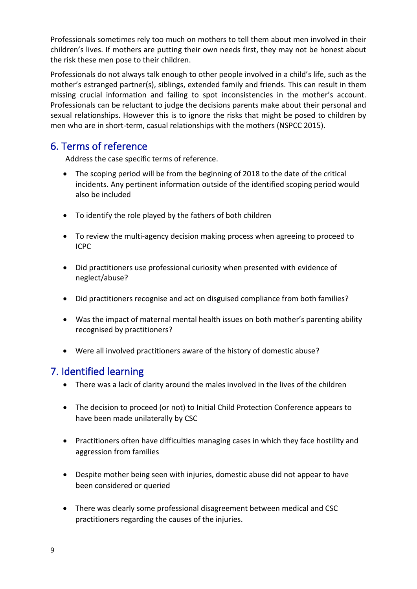Professionals sometimes rely too much on mothers to tell them about men involved in their children's lives. If mothers are putting their own needs first, they may not be honest about the risk these men pose to their children.

Professionals do not always talk enough to other people involved in a child's life, such as the mother's estranged partner(s), siblings, extended family and friends. This can result in them missing crucial information and failing to spot inconsistencies in the mother's account. Professionals can be reluctant to judge the decisions parents make about their personal and sexual relationships. However this is to ignore the risks that might be posed to children by men who are in short-term, casual relationships with the mothers (NSPCC 2015).

## <span id="page-8-0"></span>6. Terms of reference

Address the case specific terms of reference.

- The scoping period will be from the beginning of 2018 to the date of the critical incidents. Any pertinent information outside of the identified scoping period would also be included
- To identify the role played by the fathers of both children
- To review the multi-agency decision making process when agreeing to proceed to ICPC
- Did practitioners use professional curiosity when presented with evidence of neglect/abuse?
- Did practitioners recognise and act on disguised compliance from both families?
- Was the impact of maternal mental health issues on both mother's parenting ability recognised by practitioners?
- Were all involved practitioners aware of the history of domestic abuse?

## <span id="page-8-1"></span>7. Identified learning

- There was a lack of clarity around the males involved in the lives of the children
- The decision to proceed (or not) to Initial Child Protection Conference appears to have been made unilaterally by CSC
- Practitioners often have difficulties managing cases in which they face hostility and aggression from families
- Despite mother being seen with injuries, domestic abuse did not appear to have been considered or queried
- There was clearly some professional disagreement between medical and CSC practitioners regarding the causes of the injuries.